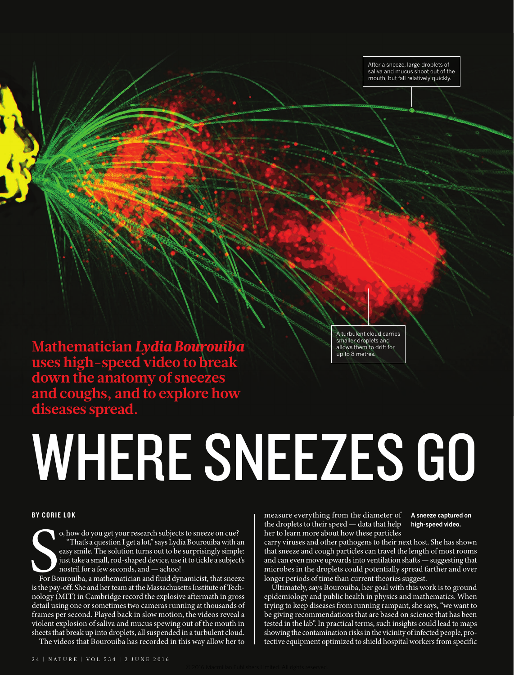After a sneeze, large droplets of saliva and mucus shoot out of the mouth, but fall relatively quickly.

**Mathematician** *Lydia Bourouiba* **uses high-speed video to break down the anatomy of sneezes and coughs, and to explore how diseases spread.**

A turbulent cloud carries smaller droplets and allows them to drift for up to 8 metres.

# WHERE SNEEZES GO

# BY CORIE LOK

o, how do you get your research subjects to sneeze on cue?<br>
"That's a question I get a lot," says Lydia Bourouiba with an<br>
easy smile. The solution turns out to be surprisingly simple:<br>
just take a small, rod-shaped device o, how do you get your research subjects to sneeze on cue? "That's a question I get a lot," says Lydia Bourouiba with an easy smile. The solution turns out to be surprisingly simple: just take a small, rod-shaped device, use it to tickle a subject's nostril for a few seconds, and — achoo!

For Bourouiba, a mathematician and fluid dynamicist, that sneeze nology (MIT) in Cambridge record the explosive aftermath in gross detail using one or sometimes two cameras running at thousands of frames per second. Played back in slow motion, the videos reveal a violent explosion of saliva and mucus spewing out of the mouth in sheets that break up into droplets, all suspended in a turbulent cloud.

The videos that Bourouiba has recorded in this way allow her to

measure everything from the diameter of the droplets to their speed — data that help her to learn more about how these particles

**A sneeze captured on high-speed video.**

carry viruses and other pathogens to their next host. She has shown that sneeze and cough particles can travel the length of most rooms and can even move upwards into ventilation shafts — suggesting that microbes in the droplets could potentially spread farther and over longer periods of time than current theories suggest.

Ultimately, says Bourouiba, her goal with this work is to ground epidemiology and public health in physics and mathematics. When trying to keep diseases from running rampant, she says, "we want to be giving recommendations that are based on science that has been tested in the lab". In practical terms, such insights could lead to maps showing the contamination risks in the vicinity of infected people, protective equipment optimized to shield hospital workers from specific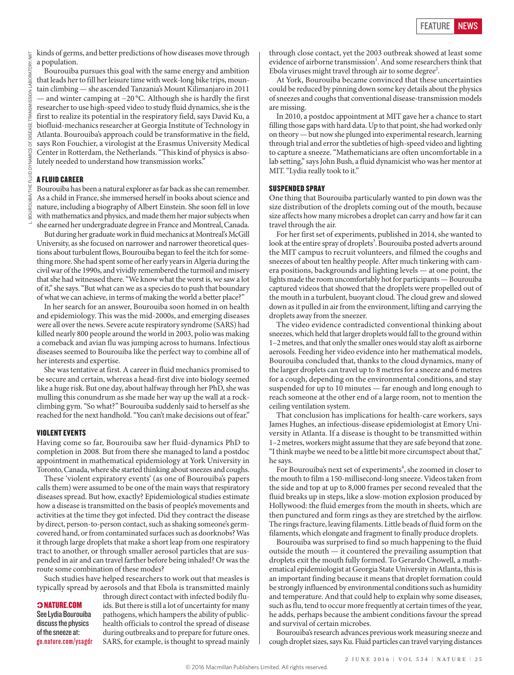kinds of germs, and better predictions of how diseases move through a population.

Bourouiba pursues this goal with the same energy and ambition that leads her to fill her leisure time with week-long bike trips, mountain climbing — she ascended Tanzania's Mount Kilimanjaro in 2011 — and winter camping at −20 °C. Although she is hardly the first researcher to use high-speed video to study fluid dynamics, she is the first to realize its potential in the respiratory field, says David Ku, a biofluid-mechanics researcher at Georgia Institute of Technology in Atlanta. Bourouiba's approach could be transformative in the field, says Ron Fouchier, a virologist at the Erasmus University Medical Center in Rotterdam, the Netherlands. "This kind of physics is absolutely needed to understand how transmission works."

# A FLUID CAREER

Bourouiba has been a natural explorer as far back as she can remember. As a child in France, she immersed herself in books about science and nature, including a biography of Albert Einstein. She soon fell in love with mathematics and physics, and made them her major subjects when she earned her undergraduate degree in France and Montreal, Canada.

But during her graduate work in fluid mechanics at Montreal's McGill University, as she focused on narrower and narrower theoretical questions about turbulent flows, Bourouiba began to feel the itch for something more. She had spent some of her early years in Algeria during the civil war of the 1990s, and vividly remembered the turmoil and misery that she had witnessed there. "We know what the worst is, we saw a lot of it," she says. "But what can we as a species do to push that boundary of what we can achieve, in terms of making the world a better place?"

In her search for an answer, Bourouiba soon homed in on health and epidemiology. This was the mid-2000s, and emerging diseases were all over the news. Severe acute respiratory syndrome (SARS) had killed nearly 800 people around the world in 2003, polio was making a comeback and avian flu was jumping across to humans. Infectious diseases seemed to Bourouiba like the perfect way to combine all of her interests and expertise.

She was tentative at first. A career in fluid mechanics promised to be secure and certain, whereas a head-first dive into biology seemed like a huge risk. But one day, about halfway through her PhD, she was mulling this conundrum as she made her way up the wall at a rockclimbing gym. "So what?" Bourouiba suddenly said to herself as she reached for the next handhold. "You can't make decisions out of fear."

## VIOLENT EVENTS

Having come so far, Bourouiba saw her fluid-dynamics PhD to completion in 2008. But from there she managed to land a postdoc appointment in mathematical epidemiology at York University in Toronto, Canada, where she started thinking about sneezes and coughs.

These 'violent expiratory events' (as one of Bourouiba's papers calls them) were assumed to be one of the main ways that respiratory diseases spread. But how, exactly? Epidemiological studies estimate how a disease is transmitted on the basis of people's movements and activities at the time they got infected. Did they contract the disease by direct, person-to-person contact, such as shaking someone's germcovered hand, or from contaminated surfaces such as doorknobs? Was it through large droplets that make a short leap from one respiratory tract to another, or through smaller aerosol particles that are suspended in air and can travel farther before being inhaled? Or was the route some combination of these modes?

Such studies have helped researchers to work out that measles is typically spread by aerosols and that Ebola is transmitted mainly

### NATURE.COM

See Lydia Bourouiba discuss the physics of the sneeze at: go.nature.com/ysagdr

through direct contact with infected bodily fluids. But there is still a lot of uncertainty for many pathogens, which hampers the ability of publichealth officials to control the spread of disease during outbreaks and to prepare for future ones. SARS, for example, is thought to spread mainly through close contact, yet the 2003 outbreak showed at least some evidence of airborne transmission<sup>1</sup>. And some researchers think that Ebola viruses might travel through air to some degree<sup>2</sup>.

At York, Bourouiba became convinced that these uncertainties could be reduced by pinning down some key details about the physics of sneezes and coughs that conventional disease-transmission models are missing.

In 2010, a postdoc appointment at MIT gave her a chance to start filling those gaps with hard data. Up to that point, she had worked only on theory — but now she plunged into experimental research, learning through trial and error the subtleties of high-speed video and lighting to capture a sneeze. "Mathematicians are often uncomfortable in a lab setting," says John Bush, a fluid dynamicist who was her mentor at MIT. "Lydia really took to it."

### SUSPENDED SPRAY

One thing that Bourouiba particularly wanted to pin down was the size distribution of the droplets coming out of the mouth, because size affects how many microbes a droplet can carry and how far it can travel through the air.

For her first set of experiments, published in 2014, she wanted to look at the entire spray of droplets<sup>3</sup>. Bourouiba posted adverts around the MIT campus to recruit volunteers, and filmed the coughs and sneezes of about ten healthy people. After much tinkering with camera positions, backgrounds and lighting levels — at one point, the lights made the room uncomfortably hot for participants — Bourouiba captured videos that showed that the droplets were propelled out of the mouth in a turbulent, buoyant cloud. The cloud grew and slowed down as it pulled in air from the environment, lifting and carrying the droplets away from the sneezer.

The video evidence contradicted conventional thinking about sneezes, which held that larger droplets would fall to the ground within 1–2metres, and that only the smaller ones would stay aloft as airborne aerosols. Feeding her video evidence into her mathematical models, Bourouiba concluded that, thanks to the cloud dynamics, many of the larger droplets can travel up to 8 metres for a sneeze and 6 metres for a cough, depending on the environmental conditions, and stay suspended for up to 10 minutes — far enough and long enough to reach someone at the other end of a large room, not to mention the ceiling ventilation system.

That conclusion has implications for health-care workers, says James Hughes, an infectious-disease epidemiologist at Emory University in Atlanta. If a disease is thought to be transmitted within 1–2metres, workers might assume that they are safe beyond that zone. "I think maybe we need to be a little bit more circumspect about that," he says.

For Bourouiba's next set of experiments<sup>4</sup>, she zoomed in closer to the mouth to film a 150-millisecond-long sneeze. Videos taken from the side and top at up to 8,000 frames per second revealed that the fluid breaks up in steps, like a slow-motion explosion produced by Hollywood: the fluid emerges from the mouth in sheets, which are then punctured and form rings as they are stretched by the airflow. The rings fracture, leaving filaments. Little beads of fluid form on the filaments, which elongate and fragment to finally produce droplets.

Bourouiba was surprised to find so much happening to the fluid outside the mouth — it countered the prevailing assumption that droplets exit the mouth fully formed. To Gerardo Chowell, a mathematical epidemiologist at Georgia State University in Atlanta, this is an important finding because it means that droplet formation could be strongly influenced by environmental conditions such as humidity and temperature. And that could help to explain why some diseases, such as flu, tend to occur more frequently at certain times of the year, he adds, perhaps because the ambient conditions favour the spread and survival of certain microbes.

Bourouiba's research advances previous work measuring sneeze and cough droplet sizes, says Ku. Fluid particles can travel varying distances